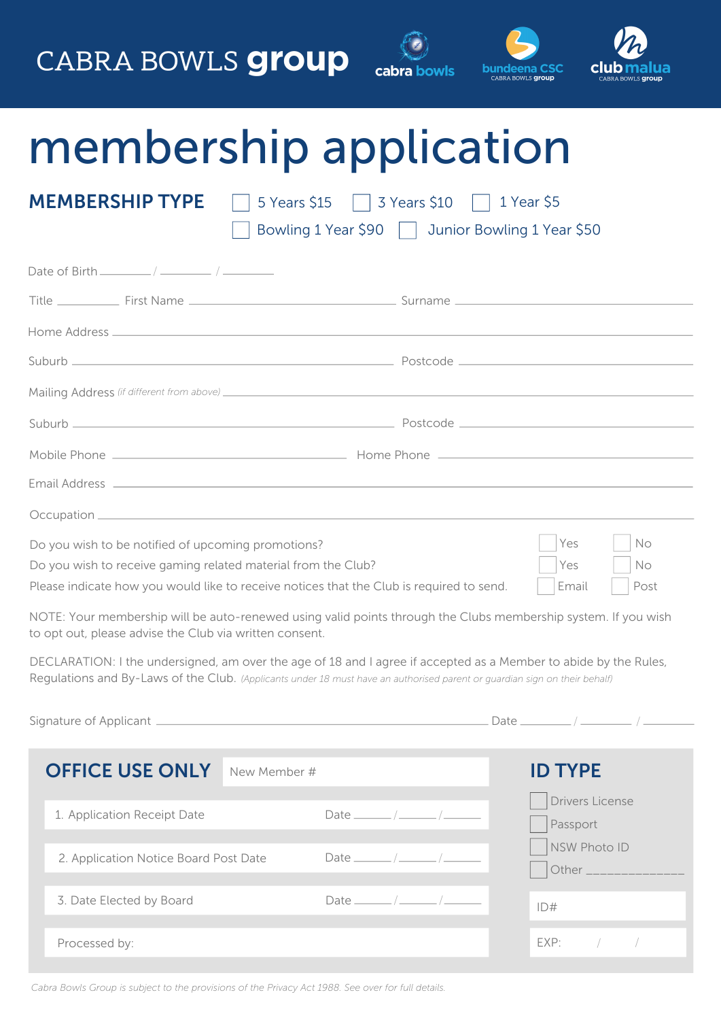### CABRA BOWLS **group**





## membership application

| <b>MEMBERSHIP TYPE</b><br>5 Years \$15   3 Years \$10   1 Year \$5<br>Bowling 1 Year \$90   Junior Bowling 1 Year \$50 |                                                                                                               |      |    |  |  |  |  |  |
|------------------------------------------------------------------------------------------------------------------------|---------------------------------------------------------------------------------------------------------------|------|----|--|--|--|--|--|
| Date of Birth $\frac{1}{2}$ / $\frac{1}{2}$ / $\frac{1}{2}$                                                            |                                                                                                               |      |    |  |  |  |  |  |
|                                                                                                                        |                                                                                                               |      |    |  |  |  |  |  |
|                                                                                                                        |                                                                                                               |      |    |  |  |  |  |  |
|                                                                                                                        |                                                                                                               |      |    |  |  |  |  |  |
|                                                                                                                        |                                                                                                               |      |    |  |  |  |  |  |
|                                                                                                                        |                                                                                                               |      |    |  |  |  |  |  |
|                                                                                                                        |                                                                                                               |      |    |  |  |  |  |  |
|                                                                                                                        |                                                                                                               |      |    |  |  |  |  |  |
|                                                                                                                        |                                                                                                               |      |    |  |  |  |  |  |
| Do you wish to be notified of upcoming promotions?                                                                     |                                                                                                               | Yes  | No |  |  |  |  |  |
| Do you wish to receive gaming related material from the Club?                                                          | Yes                                                                                                           | No.  |    |  |  |  |  |  |
| Please indicate how you would like to receive notices that the Club is required to send.                               | Email                                                                                                         | Post |    |  |  |  |  |  |
|                                                                                                                        | NOTE: Your membership will be auto-repowed using valid points through the Clubs membership system If you wish |      |    |  |  |  |  |  |

NOTE: Your membership will be auto-renewed using valid points through the Clubs membership system. If you wish to opt out, please advise the Club via written consent.

DECLARATION: I the undersigned, am over the age of 18 and I agree if accepted as a Member to abide by the Rules, Regulations and By-Laws of the Club. *(Applicants under 18 must have an authorised parent or guardian sign on their behalf)*

|                                       |                             |              |                                        | Date $\frac{\phantom{1}}{\phantom{1}}$ |  |  |  |
|---------------------------------------|-----------------------------|--------------|----------------------------------------|----------------------------------------|--|--|--|
|                                       | <b>OFFICE USE ONLY</b>      | New Member # |                                        | <b>ID TYPE</b>                         |  |  |  |
|                                       | 1. Application Receipt Date |              | Date $\frac{\phantom{1}}{\phantom{1}}$ | Drivers License<br>Passport            |  |  |  |
| 2. Application Notice Board Post Date |                             |              | Date $\frac{1}{\sqrt{2\pi}}$           | NSW Photo ID<br>Other __________       |  |  |  |
|                                       | 3. Date Elected by Board    |              |                                        | ID#                                    |  |  |  |
| Processed by:                         |                             |              |                                        | EXP:                                   |  |  |  |

*Cabra Bowls Group is subject to the provisions of the Privacy Act 1988. See over for full details.*